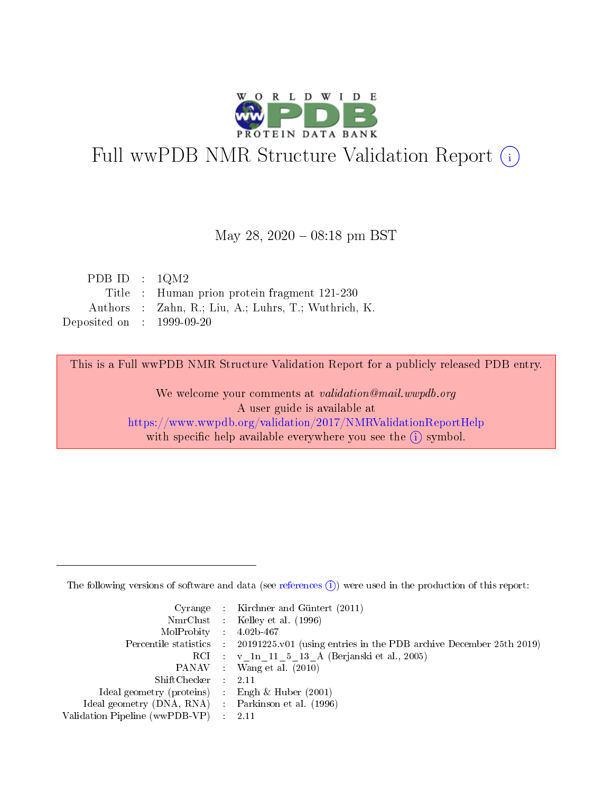

# Full wwPDB NMR Structure Validation Report (i)

#### May 28,  $2020 - 08:18$  pm BST

| PDB ID : $1QM2$             |                                                      |
|-----------------------------|------------------------------------------------------|
|                             | Title : Human prion protein fragment 121-230         |
|                             | Authors : Zahn, R.; Liu, A.; Luhrs, T.; Wuthrich, K. |
| Deposited on : $1999-09-20$ |                                                      |

This is a Full wwPDB NMR Structure Validation Report for a publicly released PDB entry.

We welcome your comments at validation@mail.wwpdb.org A user guide is available at <https://www.wwpdb.org/validation/2017/NMRValidationReportHelp> with specific help available everywhere you see the  $(i)$  symbol.

The following versions of software and data (see [references](https://www.wwpdb.org/validation/2017/NMRValidationReportHelp#references)  $(1)$ ) were used in the production of this report:

|                                                    | Cyrange : Kirchner and Güntert $(2011)$                                                    |
|----------------------------------------------------|--------------------------------------------------------------------------------------------|
|                                                    | NmrClust : Kelley et al. (1996)                                                            |
| $MolProbability$ 4.02b-467                         |                                                                                            |
|                                                    | Percentile statistics : 20191225.v01 (using entries in the PDB archive December 25th 2019) |
|                                                    | RCI : v 1n 11 5 13 A (Berjanski et al., 2005)                                              |
|                                                    | PANAV Wang et al. (2010)                                                                   |
| $ShiftChecker$ : 2.11                              |                                                                                            |
| Ideal geometry (proteins) : Engh $\&$ Huber (2001) |                                                                                            |
| Ideal geometry (DNA, RNA) Parkinson et al. (1996)  |                                                                                            |
| Validation Pipeline (wwPDB-VP)                     | 2.11                                                                                       |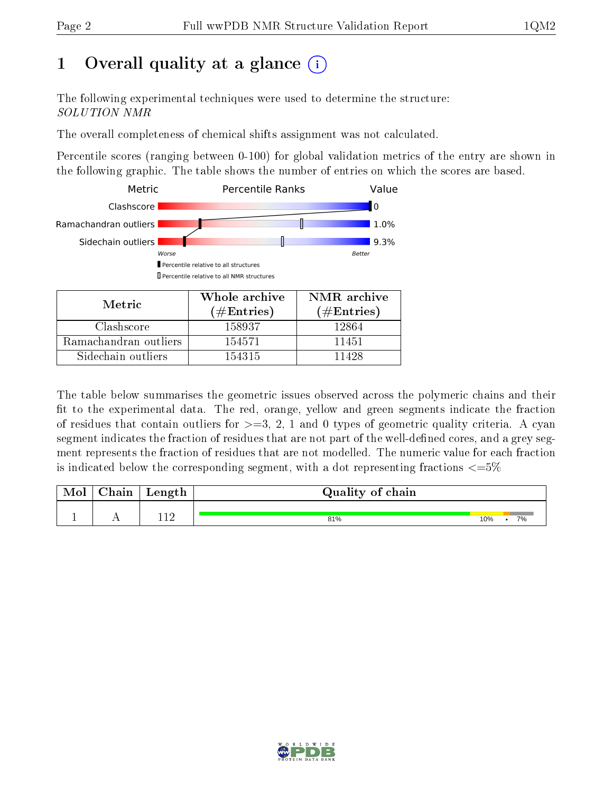## 1 [O](https://www.wwpdb.org/validation/2017/NMRValidationReportHelp#overall_quality)verall quality at a glance (i)

The following experimental techniques were used to determine the structure: SOLUTION NMR

The overall completeness of chemical shifts assignment was not calculated.

Percentile scores (ranging between 0-100) for global validation metrics of the entry are shown in the following graphic. The table shows the number of entries on which the scores are based.



The table below summarises the geometric issues observed across the polymeric chains and their fit to the experimental data. The red, orange, yellow and green segments indicate the fraction of residues that contain outliers for  $>=3, 2, 1$  and 0 types of geometric quality criteria. A cyan segment indicates the fraction of residues that are not part of the well-defined cores, and a grey segment represents the fraction of residues that are not modelled. The numeric value for each fraction is indicated below the corresponding segment, with a dot representing fractions  $\epsilon = 5\%$ 

| <b>Mol</b> | ${\bf Chain}$ | Length | Quality of chain |     |    |
|------------|---------------|--------|------------------|-----|----|
|            | . .           |        | 81%              | 10% | 7% |

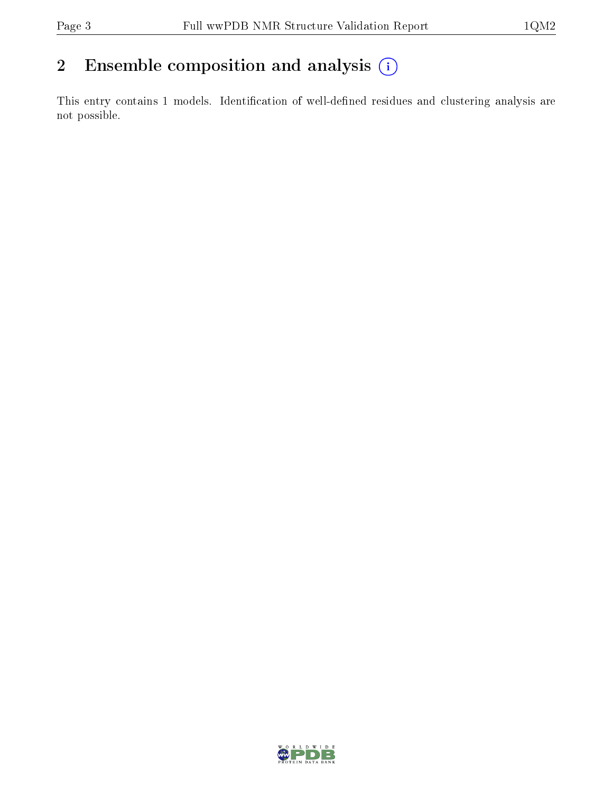## 2 Ensemble composition and analysis  $(i)$

This entry contains 1 models. Identification of well-defined residues and clustering analysis are not possible.

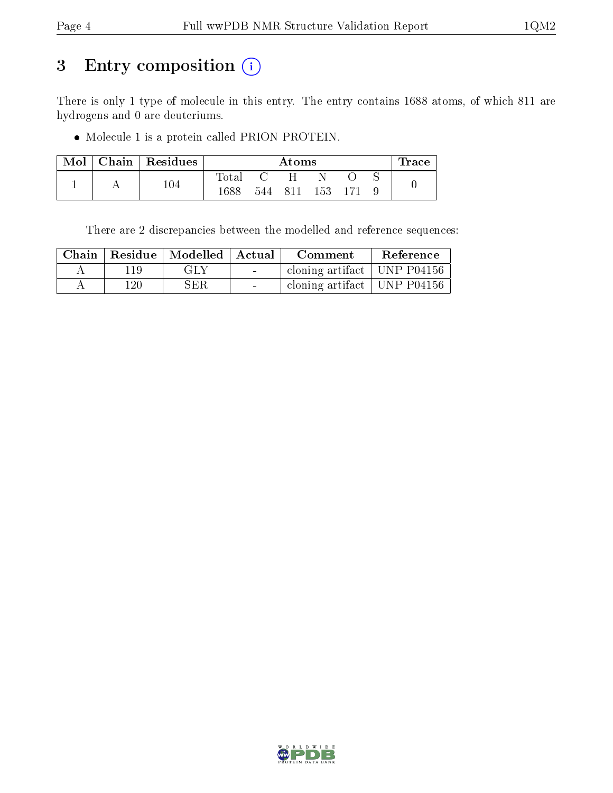## 3 Entry composition (i)

There is only 1 type of molecule in this entry. The entry contains 1688 atoms, of which 811 are hydrogens and 0 are deuteriums.

Molecule 1 is a protein called PRION PROTEIN.

| Mol | Chain   Residues |                | Atoms |     |      |  | l'race |  |
|-----|------------------|----------------|-------|-----|------|--|--------|--|
|     |                  | $_{\rm Total}$ |       |     |      |  |        |  |
|     | $104\,$          | 1688           | 544   | 811 | 153. |  |        |  |

There are 2 discrepancies between the modelled and reference sequences:

|     | Chain   Residue   Modelled   Actual |                          | Comment                                    | Reference |
|-----|-------------------------------------|--------------------------|--------------------------------------------|-----------|
| 119 | GLY                                 | <b>Contract Contract</b> | cloning artifact   UNP P04156              |           |
| 120 | SER.                                | $\sim$                   | cloning artifact   UNP $\overline{P04156}$ |           |

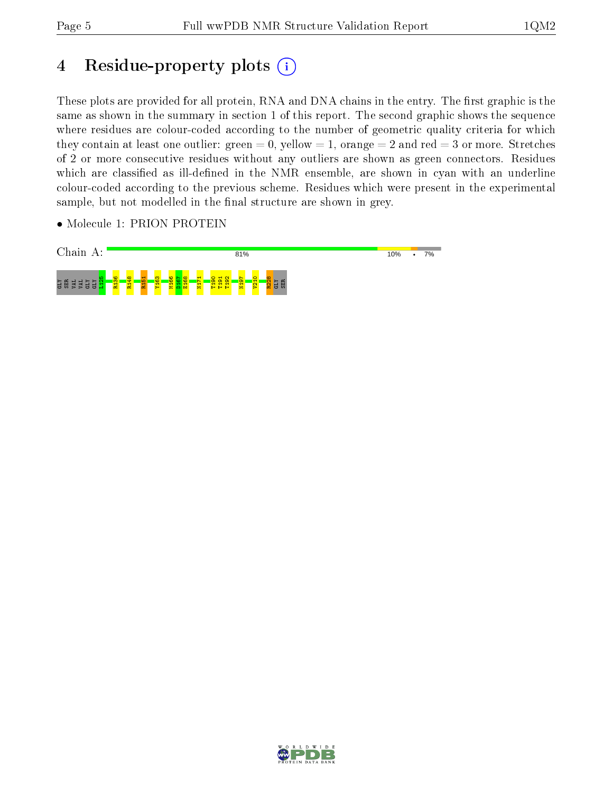## 4 Residue-property plots  $(i)$

These plots are provided for all protein, RNA and DNA chains in the entry. The first graphic is the same as shown in the summary in section 1 of this report. The second graphic shows the sequence where residues are colour-coded according to the number of geometric quality criteria for which they contain at least one outlier: green  $= 0$ , yellow  $= 1$ , orange  $= 2$  and red  $= 3$  or more. Stretches of 2 or more consecutive residues without any outliers are shown as green connectors. Residues which are classified as ill-defined in the NMR ensemble, are shown in cyan with an underline colour-coded according to the previous scheme. Residues which were present in the experimental sample, but not modelled in the final structure are shown in grey.

• Molecule 1: PRION PROTEIN



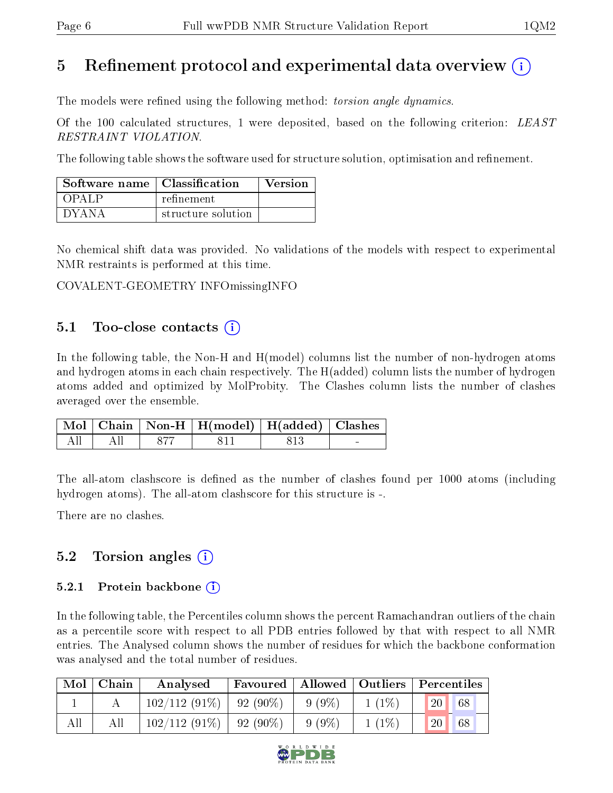## 5 Refinement protocol and experimental data overview  $\binom{1}{k}$

The models were refined using the following method: *torsion angle dynamics*.

Of the 100 calculated structures, 1 were deposited, based on the following criterion: LEAST RESTRAINT VIOLATION.

The following table shows the software used for structure solution, optimisation and refinement.

| Software name   Classification |                    | Version |
|--------------------------------|--------------------|---------|
| OPAL P                         | refinement         |         |
| $\Box$ d Y A N A               | structure solution |         |

No chemical shift data was provided. No validations of the models with respect to experimental NMR restraints is performed at this time.

COVALENT-GEOMETRY INFOmissingINFO

### 5.1 Too-close contacts  $(i)$

In the following table, the Non-H and H(model) columns list the number of non-hydrogen atoms and hydrogen atoms in each chain respectively. The H(added) column lists the number of hydrogen atoms added and optimized by MolProbity. The Clashes column lists the number of clashes averaged over the ensemble.

|                                    |       | Mol   Chain   Non-H   H(model)   H(added)   Clashes |     |  |
|------------------------------------|-------|-----------------------------------------------------|-----|--|
| $\vdash$ All $\vdash$ All $\vdash$ | - 877 | - 811                                               | 813 |  |

The all-atom clashscore is defined as the number of clashes found per 1000 atoms (including hydrogen atoms). The all-atom clashscore for this structure is -.

There are no clashes.

### 5.2 Torsion angles  $(i)$

#### 5.2.1 Protein backbone  $\hat{1}$

In the following table, the Percentiles column shows the percent Ramachandran outliers of the chain as a percentile score with respect to all PDB entries followed by that with respect to all NMR entries. The Analysed column shows the number of residues for which the backbone conformation was analysed and the total number of residues.

|     | $Mol$   Chain | Analysed                    | Favoured |          | Allowed   Outliers   Percentiles |               |    |
|-----|---------------|-----------------------------|----------|----------|----------------------------------|---------------|----|
|     |               | $102/112(91\%)$   92 (90\%) |          | $9(9\%)$ | $1(1\%)$                         | <sup>20</sup> | 68 |
| All | All           | $102/112(91\%)$   92 (90\%) |          | $9(9\%)$ | $1(1\%)$                         | 20            | 68 |

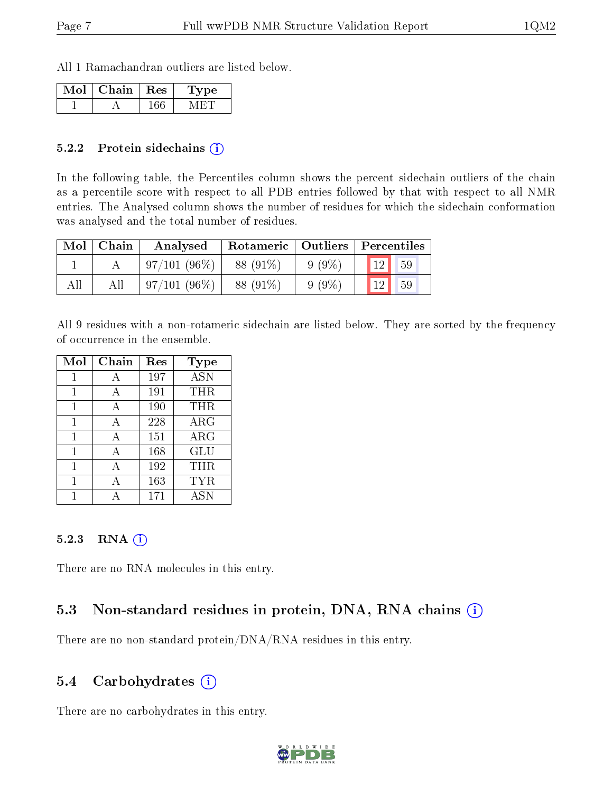All 1 Ramachandran outliers are listed below.

| Mol | Chain | $+$ Res $+$ | vpe |
|-----|-------|-------------|-----|
|     |       |             |     |

#### 5.2.2 Protein sidechains  $(i)$

In the following table, the Percentiles column shows the percent sidechain outliers of the chain as a percentile score with respect to all PDB entries followed by that with respect to all NMR entries. The Analysed column shows the number of residues for which the sidechain conformation was analysed and the total number of residues.

| Mol | Chain | Analysed       | Rotameric   Outliers   Percentiles |          |                 |    |
|-----|-------|----------------|------------------------------------|----------|-----------------|----|
|     |       | $97/101(96\%)$ | 88 (91\%)                          | $9(9\%)$ | 12 <sub>1</sub> | 59 |
| All |       | $97/101(96\%)$ | 88 (91\%)                          | $9(9\%$  | 19              | 59 |

All 9 residues with a non-rotameric sidechain are listed below. They are sorted by the frequency of occurrence in the ensemble.

| Mol | Chain | Res | Type       |
|-----|-------|-----|------------|
| 1   | А     | 197 | <b>ASN</b> |
| 1   | А     | 191 | THR        |
| 1   |       | 190 | THR        |
| 1   | A     | 228 | $\rm{ARG}$ |
| 1   | A     | 151 | $\rm{ARG}$ |
| 1   | A     | 168 | GLU        |
| 1   | А     | 192 | THR        |
| 1   |       | 163 | TYR        |
|     |       | 171 | <b>ASN</b> |

#### 5.2.3 RNA [O](https://www.wwpdb.org/validation/2017/NMRValidationReportHelp#rna)i

There are no RNA molecules in this entry.

### 5.3 Non-standard residues in protein, DNA, RNA chains (i)

There are no non-standard protein/DNA/RNA residues in this entry.

### 5.4 Carbohydrates (i)

There are no carbohydrates in this entry.

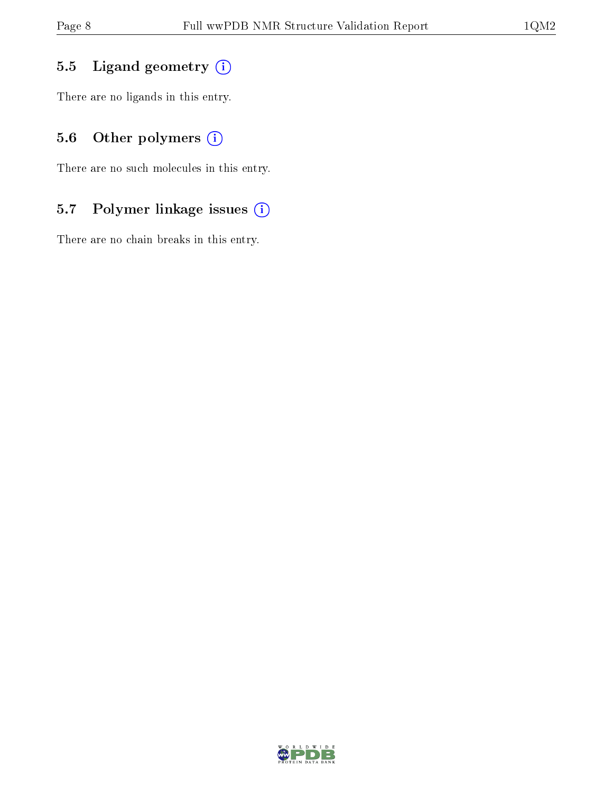## 5.5 Ligand geometry  $(i)$

There are no ligands in this entry.

## 5.6 [O](https://www.wwpdb.org/validation/2017/NMRValidationReportHelp#nonstandard_residues_and_ligands)ther polymers (i)

There are no such molecules in this entry.

## 5.7 Polymer linkage issues (i)

There are no chain breaks in this entry.